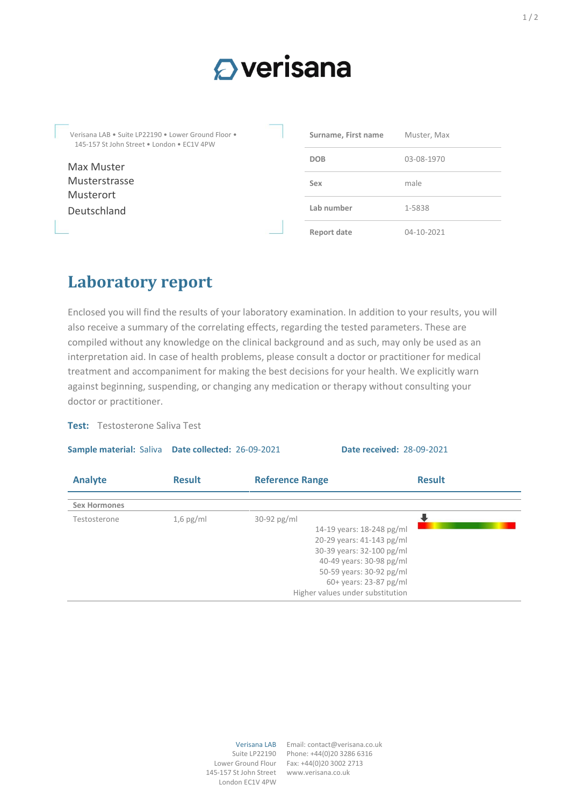## $\Omega$  verisana

Verisana LAB • Suite LP22190 • Lower Ground Floor • 145-157 St John Street • London • EC1V 4PW Max Muster Musterstrasse Musterort Deutschland **Surname, First name** Muster, Max **DOB** 03-08-1970 **Sex** male **Lab number** 1-5838 **Report date** 04-10-2021

## **Laboratory report**

Enclosed you will find the results of your laboratory examination. In addition to your results, you will also receive a summary of the correlating effects, regarding the tested parameters. These are compiled without any knowledge on the clinical background and as such, may only be used as an interpretation aid. In case of health problems, please consult a doctor or practitioner for medical treatment and accompaniment for making the best decisions for your health. We explicitly warn against beginning, suspending, or changing any medication or therapy without consulting your doctor or practitioner.

**Sample material:** Saliva **Date collected:** 26-09-2021 **Date received:** 28-09-2021

## **Test:** Testosterone Saliva Test

| Analyte             | <b>Result</b> | <b>Reference Range</b>                                                                                                                                                                                                     | <b>Result</b> |
|---------------------|---------------|----------------------------------------------------------------------------------------------------------------------------------------------------------------------------------------------------------------------------|---------------|
| <b>Sex Hormones</b> |               |                                                                                                                                                                                                                            |               |
| Testosterone        | $1,6$ pg/ml   | $30-92$ pg/ml<br>14-19 years: 18-248 pg/ml<br>20-29 years: 41-143 pg/ml<br>30-39 years: 32-100 pg/ml<br>40-49 years: 30-98 pg/ml<br>50-59 years: 30-92 pg/ml<br>60+ years: 23-87 pg/ml<br>Higher values under substitution |               |

Lower Ground Flour 145-157 St John Street London EC1V 4PW

Verisana LAB Email: contact@verisana.co.uk Suite LP22190 Phone: +44(0)20 3286 6316 Fax: +44(0)20 3002 2713 www.verisana.co.uk